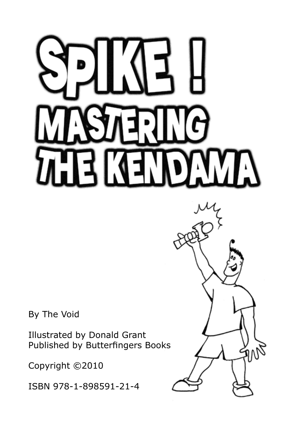m

By The Void

Illustrated by Donald Grant Published by Butterfingers Books

Copyright ©2010

ISBN 978-1-898591-21-4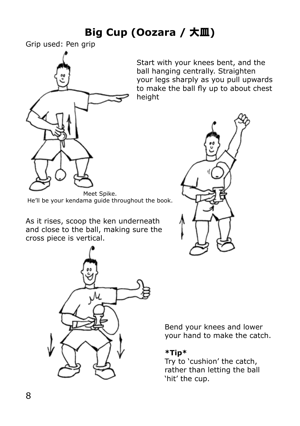# **Big Cup (Oozara /** 大皿**)**

Grip used: Pen grip



Start with your knees bent, and the ball hanging centrally. Straighten your legs sharply as you pull upwards to make the ball fly up to about chest height



Meet Spike. He'll be your kendama guide throughout the book.

As it rises, scoop the ken underneath and close to the ball, making sure the cross piece is vertical.



Bend your knees and lower your hand to make the catch.

### **\*Tip\***

Try to 'cushion' the catch, rather than letting the ball 'hit' the cup.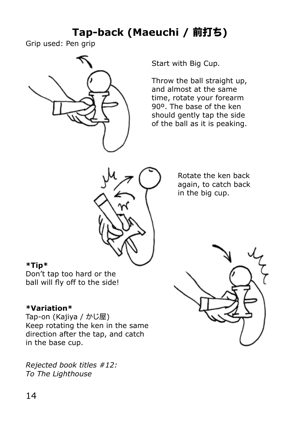# **Tap-back (Maeuchi /** 前打ち**)**

Grip used: Pen grip



Start with Big Cup.

Throw the ball straight up, and almost at the same time, rotate your forearm 90º. The base of the ken should gently tap the side of the ball as it is peaking.



Rotate the ken back again, to catch back in the big cup.

#### **\*Tip\***

Don't tap too hard or the ball will fly off to the side!

### **\*Variation\***

Tap-on (Kajiya / かじ屋) Keep rotating the ken in the same direction after the tap, and catch in the base cup.

*Rejected book titles #12: To The Lighthouse*